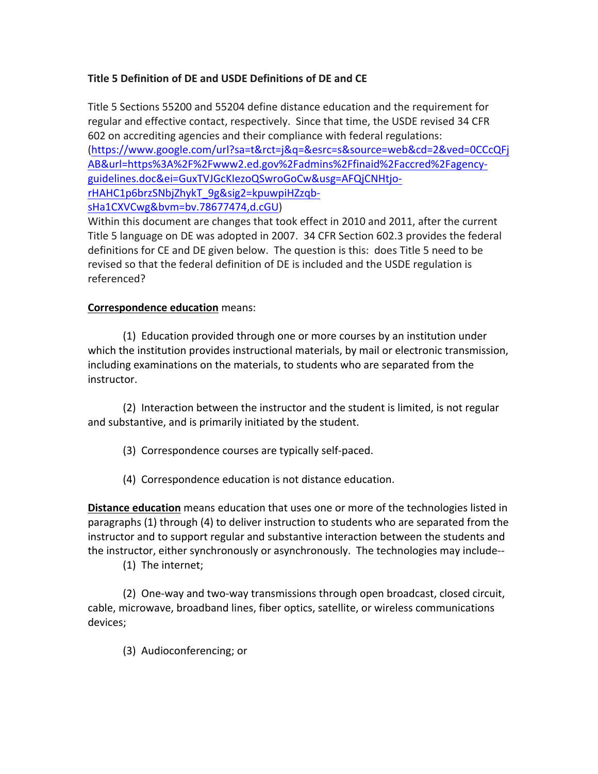## **Title 5 Definition of DE and USDE Definitions of DE and CE**

Title 5 Sections 55200 and 55204 define distance education and the requirement for regular and effective contact, respectively. Since that time, the USDE revised 34 CFR 602 on accrediting agencies and their compliance with federal regulations: (https://www.google.com/url?sa=t&rct=j&q=&esrc=s&source=web&cd=2&ved=0CCcQFj AB&url=https%3A%2F%2Fwww2.ed.gov%2Fadmins%2Ffinaid%2Faccred%2Fagencyguidelines.doc&ei=GuxTVJGcKIezoQSwroGoCw&usg=AFQjCNHtjorHAHC1p6brzSNbjZhykT\_9g&sig2=kpuwpiHZzqbsHa1CXVCwg&bvm=bv.78677474,d.cGU)

Within this document are changes that took effect in 2010 and 2011, after the current Title 5 language on DE was adopted in 2007. 34 CFR Section 602.3 provides the federal definitions for CE and DE given below. The question is this: does Title 5 need to be revised so that the federal definition of DE is included and the USDE regulation is referenced?

## **Correspondence education** means:

(1) Education provided through one or more courses by an institution under which the institution provides instructional materials, by mail or electronic transmission, including examinations on the materials, to students who are separated from the instructor.

(2) Interaction between the instructor and the student is limited, is not regular and substantive, and is primarily initiated by the student.

- (3) Correspondence courses are typically self-paced.
- (4) Correspondence education is not distance education.

**Distance education** means education that uses one or more of the technologies listed in paragraphs (1) through (4) to deliver instruction to students who are separated from the instructor and to support regular and substantive interaction between the students and the instructor, either synchronously or asynchronously. The technologies may include--

(1) The internet;

(2) One-way and two-way transmissions through open broadcast, closed circuit, cable, microwave, broadband lines, fiber optics, satellite, or wireless communications devices;

(3) Audioconferencing; or